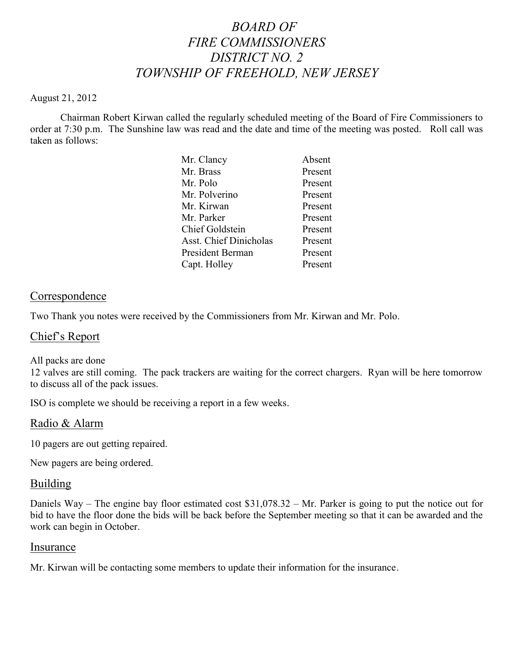## *BOARD OF FIRE COMMISSIONERS DISTRICT NO. 2 TOWNSHIP OF FREEHOLD, NEW JERSEY*

#### August 21, 2012

Chairman Robert Kirwan called the regularly scheduled meeting of the Board of Fire Commissioners to order at 7:30 p.m. The Sunshine law was read and the date and time of the meeting was posted. Roll call was taken as follows:

| Mr. Clancy                    | Absent  |
|-------------------------------|---------|
| Mr. Brass                     | Present |
| Mr. Polo                      | Present |
| Mr. Polverino                 | Present |
| Mr. Kirwan                    | Present |
| Mr. Parker                    | Present |
| <b>Chief Goldstein</b>        | Present |
| <b>Asst. Chief Dinicholas</b> | Present |
| President Berman              | Present |
| Capt. Holley                  | Present |
|                               |         |

#### **Correspondence**

Two Thank you notes were received by the Commissioners from Mr. Kirwan and Mr. Polo.

#### Chief's Report

All packs are done

12 valves are still coming. The pack trackers are waiting for the correct chargers. Ryan will be here tomorrow to discuss all of the pack issues.

ISO is complete we should be receiving a report in a few weeks.

#### Radio & Alarm

10 pagers are out getting repaired.

New pagers are being ordered.

#### **Building**

Daniels Way – The engine bay floor estimated cost \$31,078.32 – Mr. Parker is going to put the notice out for bid to have the floor done the bids will be back before the September meeting so that it can be awarded and the work can begin in October.

#### Insurance

Mr. Kirwan will be contacting some members to update their information for the insurance.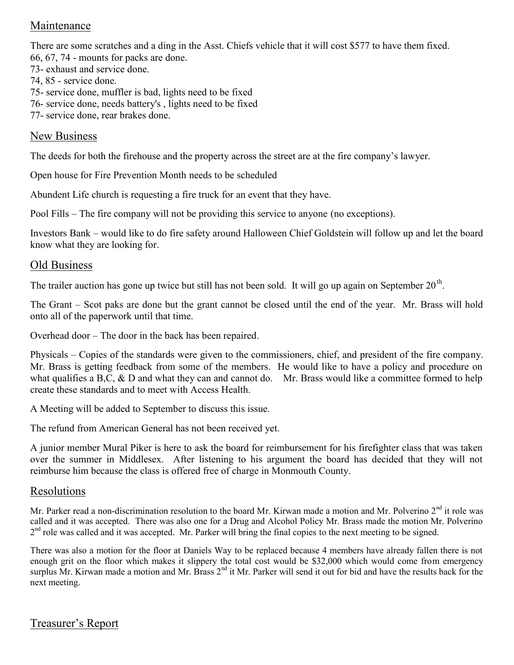## Maintenance

There are some scratches and a ding in the Asst. Chiefs vehicle that it will cost \$577 to have them fixed. 66, 67, 74 - mounts for packs are done.

- 73- exhaust and service done.
- 74, 85 service done.
- 75- service done, muffler is bad, lights need to be fixed
- 76- service done, needs battery's , lights need to be fixed
- 77- service done, rear brakes done.

### New Business

The deeds for both the firehouse and the property across the street are at the fire company's lawyer.

Open house for Fire Prevention Month needs to be scheduled

Abundent Life church is requesting a fire truck for an event that they have.

Pool Fills – The fire company will not be providing this service to anyone (no exceptions).

Investors Bank – would like to do fire safety around Halloween Chief Goldstein will follow up and let the board know what they are looking for.

### Old Business

The trailer auction has gone up twice but still has not been sold. It will go up again on September  $20<sup>th</sup>$ .

The Grant – Scot paks are done but the grant cannot be closed until the end of the year. Mr. Brass will hold onto all of the paperwork until that time.

Overhead door – The door in the back has been repaired.

Physicals – Copies of the standards were given to the commissioners, chief, and president of the fire company. Mr. Brass is getting feedback from some of the members. He would like to have a policy and procedure on what qualifies a B,C, & D and what they can and cannot do. Mr. Brass would like a committee formed to help create these standards and to meet with Access Health.

A Meeting will be added to September to discuss this issue.

The refund from American General has not been received yet.

A junior member Mural Piker is here to ask the board for reimbursement for his firefighter class that was taken over the summer in Middlesex. After listening to his argument the board has decided that they will not reimburse him because the class is offered free of charge in Monmouth County.

## Resolutions

Mr. Parker read a non-discrimination resolution to the board Mr. Kirwan made a motion and Mr. Polverino  $2<sup>nd</sup>$  it role was called and it was accepted. There was also one for a Drug and Alcohol Policy Mr. Brass made the motion Mr. Polverino 2<sup>nd</sup> role was called and it was accepted. Mr. Parker will bring the final copies to the next meeting to be signed.

There was also a motion for the floor at Daniels Way to be replaced because 4 members have already fallen there is not enough grit on the floor which makes it slippery the total cost would be \$32,000 which would come from emergency surplus Mr. Kirwan made a motion and Mr. Brass 2<sup>nd</sup> it Mr. Parker will send it out for bid and have the results back for the next meeting.

## Treasurer's Report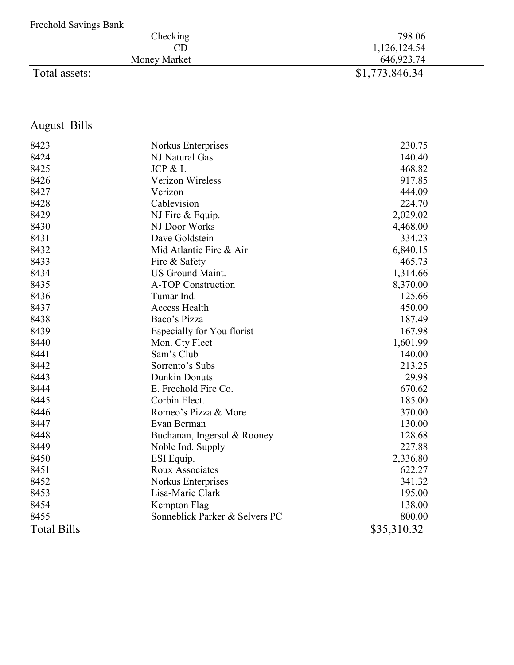| Freehold Savings Bank |                |
|-----------------------|----------------|
| Checking              | 798.06         |
| CD                    | 1,126,124.54   |
| Money Market          | 646,923.74     |
| Total assets:         | \$1,773,846.34 |

# August Bills

| 8423               | Norkus Enterprises             | 230.75      |
|--------------------|--------------------------------|-------------|
| 8424               | NJ Natural Gas                 | 140.40      |
| 8425               | JCP & L                        | 468.82      |
| 8426               | Verizon Wireless               | 917.85      |
| 8427               | Verizon                        | 444.09      |
| 8428               | Cablevision                    | 224.70      |
| 8429               | NJ Fire & Equip.               | 2,029.02    |
| 8430               | NJ Door Works                  | 4,468.00    |
| 8431               | Dave Goldstein                 | 334.23      |
| 8432               | Mid Atlantic Fire & Air        | 6,840.15    |
| 8433               | Fire & Safety                  | 465.73      |
| 8434               | <b>US Ground Maint.</b>        | 1,314.66    |
| 8435               | <b>A-TOP Construction</b>      | 8,370.00    |
| 8436               | Tumar Ind.                     | 125.66      |
| 8437               | <b>Access Health</b>           | 450.00      |
| 8438               | Baco's Pizza                   | 187.49      |
| 8439               | Especially for You florist     | 167.98      |
| 8440               | Mon. Cty Fleet                 | 1,601.99    |
| 8441               | Sam's Club                     | 140.00      |
| 8442               | Sorrento's Subs                | 213.25      |
| 8443               | <b>Dunkin Donuts</b>           | 29.98       |
| 8444               | E. Freehold Fire Co.           | 670.62      |
| 8445               | Corbin Elect.                  | 185.00      |
| 8446               | Romeo's Pizza & More           | 370.00      |
| 8447               | Evan Berman                    | 130.00      |
| 8448               | Buchanan, Ingersol & Rooney    | 128.68      |
| 8449               | Noble Ind. Supply              | 227.88      |
| 8450               | ESI Equip.                     | 2,336.80    |
| 8451               | Roux Associates                | 622.27      |
| 8452               | Norkus Enterprises             | 341.32      |
| 8453               | Lisa-Marie Clark               | 195.00      |
| 8454               | Kempton Flag                   | 138.00      |
| 8455               | Sonneblick Parker & Selvers PC | 800.00      |
| <b>Total Bills</b> |                                | \$35,310.32 |